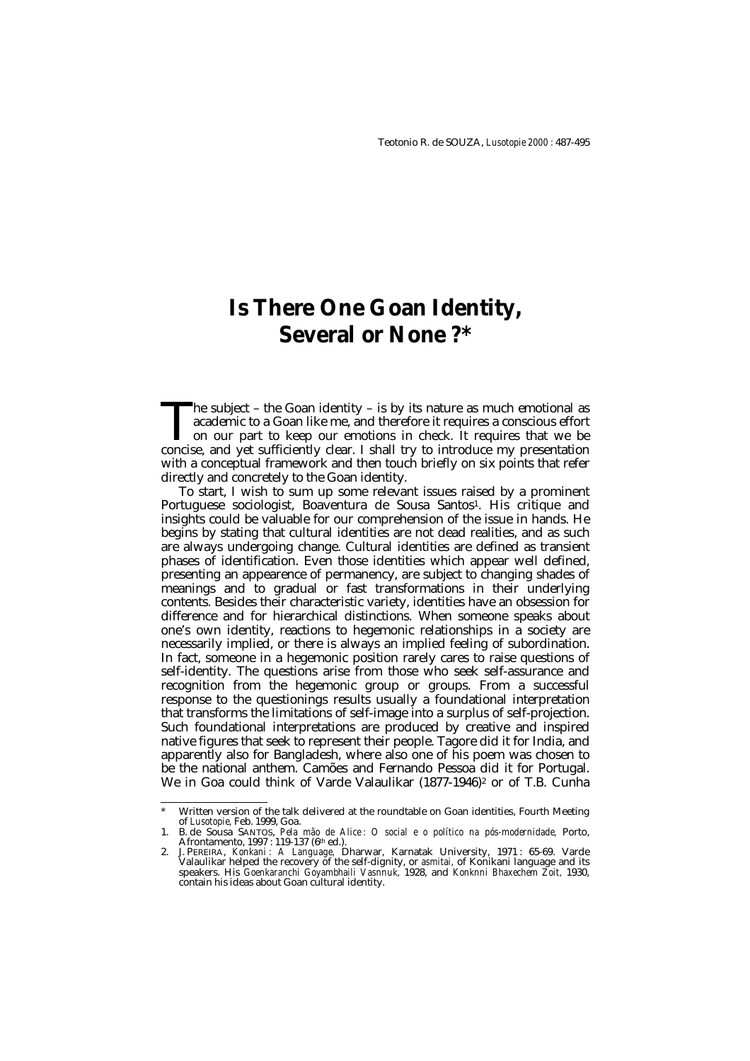# **Is There One Goan Identity, Several or None ?\***

The subject – the Goan identity – is by its nature as much emotional as academic to a Goan like me, and therefore it requires a conscious effort on our part to keep our emotions in check. It requires that we be The subject – the Goan identity – is by its nature as much emotional as academic to a Goan like me, and therefore it requires a conscious effort on our part to keep our emotions in check. It requires that we be concise, an with a conceptual framework and then touch briefly on six points that refer directly and concretely to the Goan identity.

To start, I wish to sum up some relevant issues raised by a prominent Portuguese sociologist, Boaventura de Sousa Santos1. His critique and insights could be valuable for our comprehension of the issue in hands. He begins by stating that cultural identities are not dead realities, and as such are always undergoing change. Cultural identities are defined as transient phases of identification. Even those identities which appear well defined, presenting an appearence of permanency, are subject to changing shades of meanings and to gradual or fast transformations in their underlying contents. Besides their characteristic variety, identities have an obsession for difference and for hierarchical distinctions. When someone speaks about one's own identity, reactions to hegemonic relationships in a society are necessarily implied, or there is always an implied feeling of subordination. In fact, someone in a hegemonic position rarely cares to raise questions of self-identity. The questions arise from those who seek self-assurance and recognition from the hegemonic group or groups. From a successful response to the questionings results usually a foundational interpretation that transforms the limitations of self-image into a surplus of self-projection. Such foundational interpretations are produced by creative and inspired native figures that seek to represent their people. Tagore did it for India, and apparently also for Bangladesh, where also one of his poem was chosen to be the national anthem. Camões and Fernando Pessoa did it for Portugal. We in Goa could think of Varde Valaulikar (1877-1946)<sup>2</sup> or of T.B. Cunha

<sup>-</sup>Written version of the talk delivered at the roundtable on Goan identities, Fourth Meeting of *Lusotopie,* Feb. 1999, Goa. 1. B. de Sousa SANTOS, *Pela mão de Alice : O social e o político na pós-modernidade,* Porto,

Afrontamento, 1997 : 119-137 (6<sup>th</sup> ed.).<br>2. J. PEREIRA, *Konkani : A Language*, Dharwar, Karnatak University, 1971 : 65-69. Varde<br>15 Valaulikar helped the recovery of the self-dignity, or *asmitai*, of Konikani language a speakers. His *Goenkaranchi Goyambhaili Vasnnuk,* 1928, and *Konknni Bhaxechem Zoit,* 1930, contain his ideas about Goan cultural identity.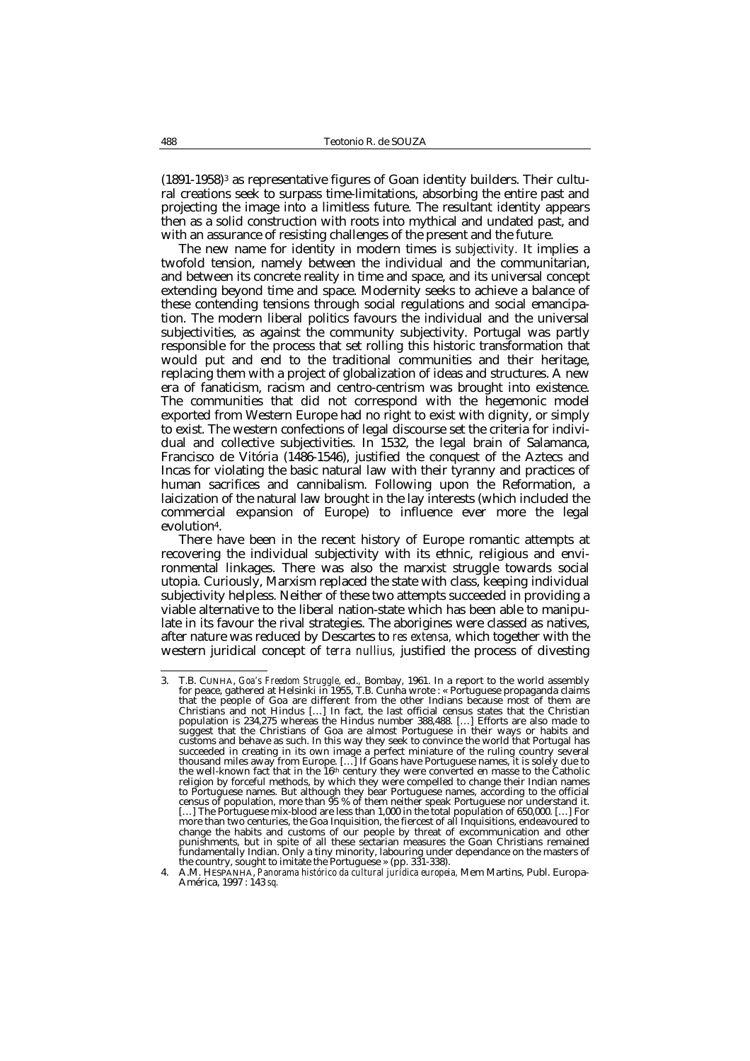$(1891-1958)^3$  as representative figures of Goan identity builders. Their cultural creations seek to surpass time-limitations, absorbing the entire past and projecting the image into a limitless future. The resultant identity appears then as a solid construction with roots into mythical and undated past, and with an assurance of resisting challenges of the present and the future.

The new name for identity in modern times is *subjectivity.* It implies a twofold tension, namely between the individual and the communitarian, and between its concrete reality in time and space, and its universal concept extending beyond time and space. Modernity seeks to achieve a balance of these contending tensions through social regulations and social emancipation. The modern liberal politics favours the individual and the universal subjectivities, as against the community subjectivity. Portugal was partly responsible for the process that set rolling this historic transformation that would put and end to the traditional communities and their heritage, replacing them with a project of globalization of ideas and structures. A new era of fanaticism, racism and centro-centrism was brought into existence. The communities that did not correspond with the hegemonic model exported from Western Europe had no right to exist with dignity, or simply to exist. The western confections of legal discourse set the criteria for individual and collective subjectivities. In 1532, the legal brain of Salamanca, Francisco de Vitória (1486-1546), justified the conquest of the Aztecs and Incas for violating the basic natural law with their tyranny and practices of human sacrifices and cannibalism. Following upon the Reformation, a laicization of the natural law brought in the lay interests (which included the commercial expansion of Europe) to influence ever more the legal evolution4.

There have been in the recent history of Europe romantic attempts at recovering the individual subjectivity with its ethnic, religious and environmental linkages. There was also the marxist struggle towards social utopia. Curiously, Marxism replaced the state with class, keeping individual subjectivity helpless. Neither of these two attempts succeeded in providing a viable alternative to the liberal nation-state which has been able to manipulate in its favour the rival strategies. The aborigines were classed as natives, after nature was reduced by Descartes to *res extensa,* which together with the western juridical concept of *terra nullius,* justified the process of divesting

 $\mathbf{3}$ 3. T.B. CUNHA, *Goa's Freedom Struggle,* ed.*,* Bombay, 1961. In a report to the world assembly for peace, gathered at Helsinki in 1955, T.B. Cunha wrote : « Portuguese propaganda claims that the people of Goa are different from the other Indians because most of them are Christians and not Hindus […] In fact, the last official census states that the Christian population is 234,275 whereas the Hindus number 388,488. […] Efforts are also made to suggest that the Christians of Goa are almost Portuguese in their ways or habits and customs and behave as such. In this way they seek to convince the world that Portugal has succeeded in creating in its own image a perfect miniature of the ruling country several<br>thousand miles away from Europe. [...] If Goans have Portuguese names, it is solely due to<br>the well-known fact that in the 16th centu religion by forceful methods, by which they were compelled to change their Indian names to Portuguese names. But although they bear Portuguese names, according to the official census of population, more than 95 % of them neither speak Portuguese nor understand it. [...] The Portuguese mix-blood are less than 1,000 in the total population of 650,000. [...] For<br>more than two centuries, the Goa Inquisition, the fiercest of all Inquisitions, endeavoured to<br>change the habits and customs punishments, but in spite of all these sectarian measures the Goan Christians remained fundamentally Indian. Only a tiny minority, labouring under dependance on the masters of the country, sought to imitate the Portuguese » (pp. 331-338).

<sup>4.</sup> A.M. HESPANHA, *Panorama histórico da cultural jurídica europeia,* Mem Martins, Publ. Europa-América, 1997 : 143 *sq.*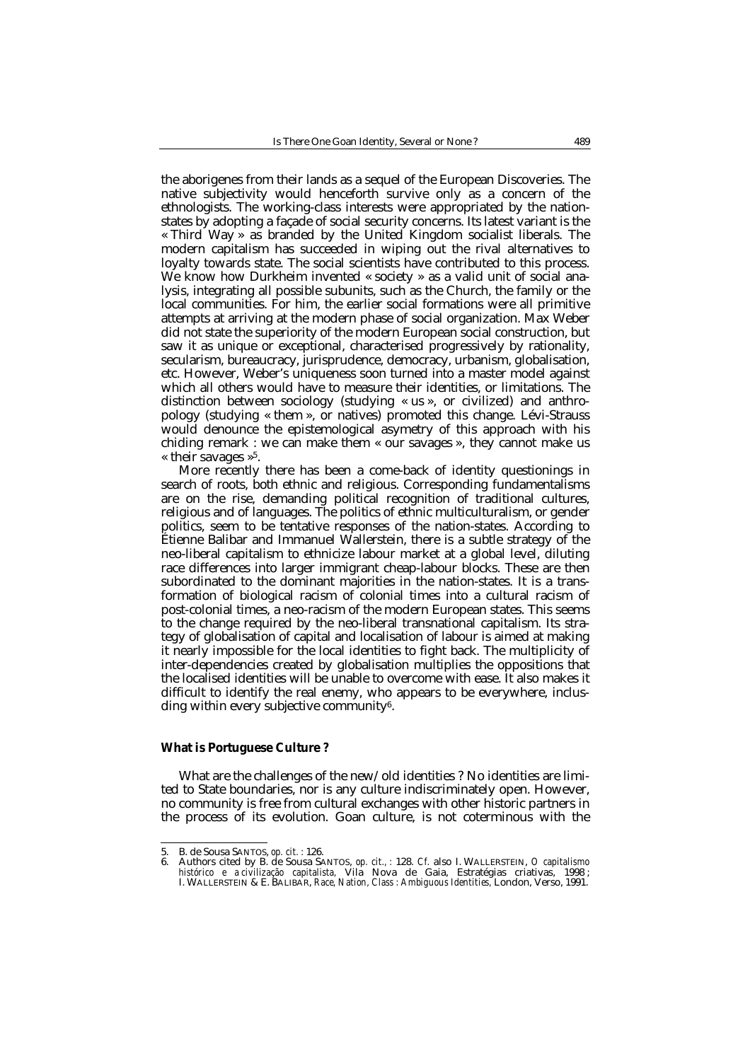the aborigenes from their lands as a sequel of the European Discoveries. The native subjectivity would henceforth survive only as a concern of the ethnologists. The working-class interests were appropriated by the nationstates by adopting a façade of social security concerns. Its latest variant is the « Third Way » as branded by the United Kingdom socialist liberals. The modern capitalism has succeeded in wiping out the rival alternatives to loyalty towards state. The social scientists have contributed to this process. We know how Durkheim invented « society » as a valid unit of social analysis, integrating all possible subunits, such as the Church, the family or the local communities. For him, the earlier social formations were all primitive attempts at arriving at the modern phase of social organization. Max Weber did not state the superiority of the modern European social construction, but saw it as unique or exceptional, characterised progressively by rationality, secularism, bureaucracy, jurisprudence, democracy, urbanism, globalisation, etc. However, Weber's uniqueness soon turned into a master model against which all others would have to measure their identities, or limitations. The distinction between sociology (studying « us », or civilized) and anthropology (studying « them », or natives) promoted this change. Lévi-Strauss would denounce the epistemological asymetry of this approach with his chiding remark : we can make them « our savages », they cannot make us « their savages  $\ast^5$ .

More recently there has been a come-back of identity questionings in search of roots, both ethnic and religious. Corresponding fundamentalisms are on the rise, demanding political recognition of traditional cultures, religious and of languages. The politics of ethnic multiculturalism, or gender politics, seem to be tentative responses of the nation-states. According to Étienne Balibar and Immanuel Wallerstein, there is a subtle strategy of the neo-liberal capitalism to ethnicize labour market at a global level, diluting race differences into larger immigrant cheap-labour blocks. These are then subordinated to the dominant majorities in the nation-states. It is a transformation of biological racism of colonial times into a cultural racism of post-colonial times, a neo-racism of the modern European states. This seems to the change required by the neo-liberal transnational capitalism. Its strategy of globalisation of capital and localisation of labour is aimed at making it nearly impossible for the local identities to fight back. The multiplicity of inter-dependencies created by globalisation multiplies the oppositions that the localised identities will be unable to overcome with ease. It also makes it difficult to identify the real enemy, who appears to be everywhere, inclusding within every subjective community $6$ .

### **What is Portuguese Culture ?**

What are the challenges of the new/old identities ? No identities are limited to State boundaries, nor is any culture indiscriminately open. However, no community is free from cultural exchanges with other historic partners in the process of its evolution. Goan culture, is not coterminous with the

-

<sup>5.</sup> B. de Sousa SANTOS, *op. cit. :* 126.

<sup>6.</sup> Authors cited by B. de Sousa SANTOS, *op. cit., :* 128. *Cf.* also I. WALLERSTEIN, *O capitalismo histórico e a civilização capitalista,* Vila Nova de Gaia, Estratégias criativas, 1998 ; I. WALLERSTEIN & E. BALIBAR, *Race, Nation, Class : Ambiguous Identities,* London, Verso, 1991.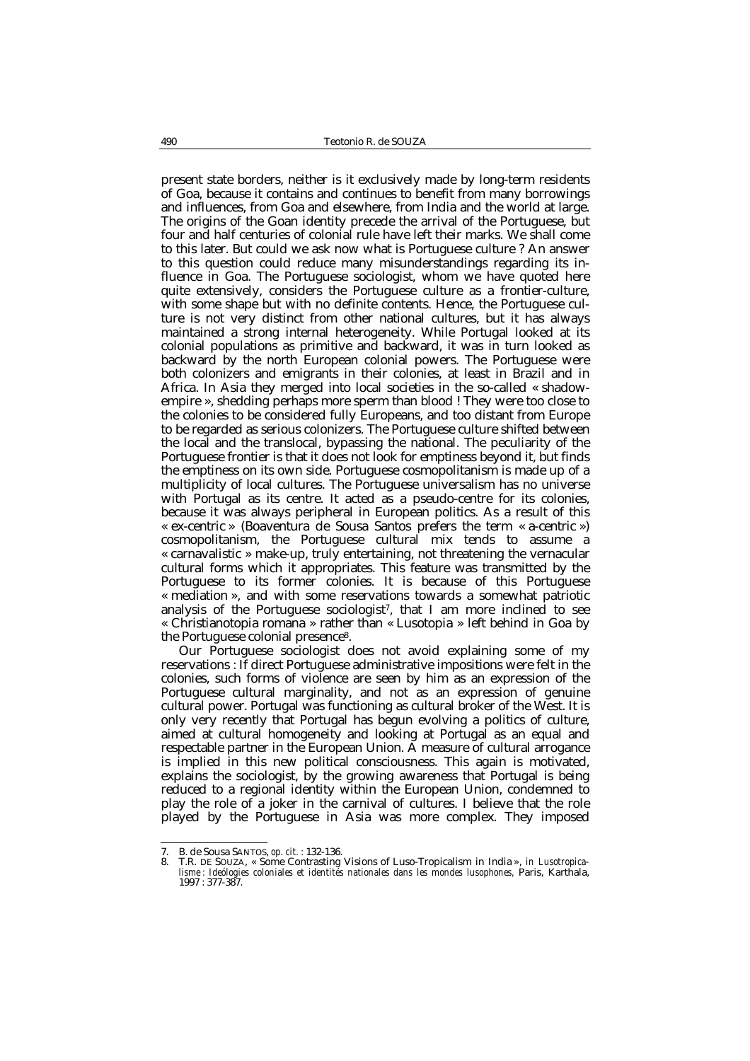present state borders, neither is it exclusively made by long-term residents of Goa, because it contains and continues to benefit from many borrowings and influences, from Goa and elsewhere, from India and the world at large. The origins of the Goan identity precede the arrival of the Portuguese, but four and half centuries of colonial rule have left their marks. We shall come to this later. But could we ask now what is Portuguese culture ? An answer to this question could reduce many misunderstandings regarding its influence in Goa. The Portuguese sociologist, whom we have quoted here quite extensively, considers the Portuguese culture as a frontier-culture, with some shape but with no definite contents. Hence, the Portuguese culture is not very distinct from other national cultures, but it has always maintained a strong internal heterogeneity. While Portugal looked at its colonial populations as primitive and backward, it was in turn looked as backward by the north European colonial powers. The Portuguese were both colonizers and emigrants in their colonies, at least in Brazil and in Africa. In Asia they merged into local societies in the so-called « shadowempire », shedding perhaps more sperm than blood ! They were too close to the colonies to be considered fully Europeans, and too distant from Europe to be regarded as serious colonizers. The Portuguese culture shifted between the local and the translocal, bypassing the national. The peculiarity of the Portuguese frontier is that it does not look for emptiness beyond it, but finds the emptiness on its own side. Portuguese cosmopolitanism is made up of a multiplicity of local cultures. The Portuguese universalism has no universe with Portugal as its centre. It acted as a pseudo-centre for its colonies, because it was always peripheral in European politics. As a result of this « ex-centric » (Boaventura de Sousa Santos prefers the term « a-centric ») cosmopolitanism, the Portuguese cultural mix tends to assume a « carnavalistic » make-up, truly entertaining, not threatening the vernacular cultural forms which it appropriates. This feature was transmitted by the Portuguese to its former colonies. It is because of this Portuguese « mediation », and with some reservations towards a somewhat patriotic analysis of the Portuguese sociologist<sup>7</sup>, that I am more inclined to see « Christianotopia romana » rather than « Lusotopia » left behind in Goa by the Portuguese colonial presence8.

Our Portuguese sociologist does not avoid explaining some of my reservations : If direct Portuguese administrative impositions were felt in the colonies, such forms of violence are seen by him as an expression of the Portuguese cultural marginality, and not as an expression of genuine cultural power. Portugal was functioning as cultural broker of the West. It is only very recently that Portugal has begun evolving a politics of culture, aimed at cultural homogeneity and looking at Portugal as an equal and respectable partner in the European Union. A measure of cultural arrogance is implied in this new political consciousness. This again is motivated, explains the sociologist, by the growing awareness that Portugal is being reduced to a regional identity within the European Union, condemned to play the role of a joker in the carnival of cultures. I believe that the role played by the Portuguese in Asia was more complex. They imposed

-

<sup>7.</sup> B. de Sousa SANTOS, *op. cit. :* 132-136. 8. T.R. DE SOUZA, « Some Contrasting Visions of Luso-Tropicalism in India », *in Lusotropica*lisme : Ideólogies coloniales et identités nationales dans les mondes lusophones, Paris, Karthala, 1997 : 377-387.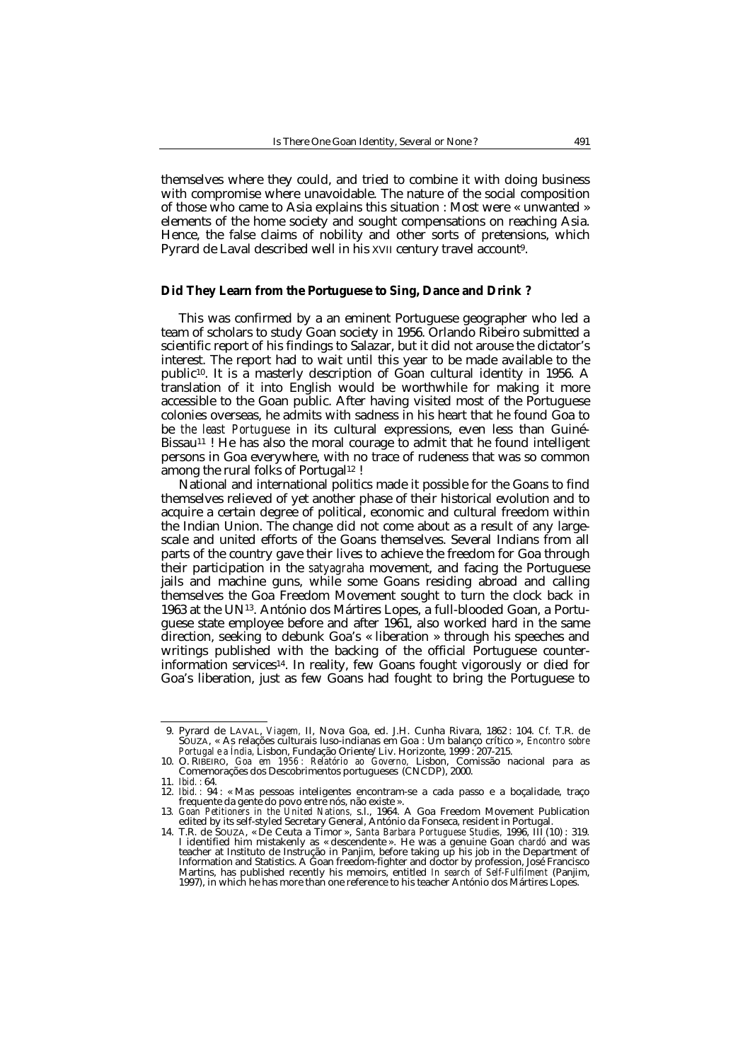themselves where they could, and tried to combine it with doing business with compromise where unavoidable. The nature of the social composition of those who came to Asia explains this situation : Most were « unwanted » elements of the home society and sought compensations on reaching Asia. Hence, the false claims of nobility and other sorts of pretensions, which Pyrard de Laval described well in his XVII century travel account9.

### **Did They Learn from the Portuguese to Sing, Dance and Drink ?**

This was confirmed by a an eminent Portuguese geographer who led a team of scholars to study Goan society in 1956. Orlando Ribeiro submitted a scientific report of his findings to Salazar, but it did not arouse the dictator's interest. The report had to wait until this year to be made available to the public10. It is a masterly description of Goan cultural identity in 1956. A translation of it into English would be worthwhile for making it more accessible to the Goan public. After having visited most of the Portuguese colonies overseas, he admits with sadness in his heart that he found Goa to be *the least Portuguese* in its cultural expressions, even less than Guiné-Bissau<sup>11</sup> ! He has also the moral courage to admit that he found intelligent persons in Goa everywhere, with no trace of rudeness that was so common among the rural folks of Portugal<sup>12</sup> !

National and international politics made it possible for the Goans to find themselves relieved of yet another phase of their historical evolution and to acquire a certain degree of political, economic and cultural freedom within the Indian Union. The change did not come about as a result of any largescale and united efforts of the Goans themselves. Several Indians from all parts of the country gave their lives to achieve the freedom for Goa through their participation in the *satyagraha* movement, and facing the Portuguese jails and machine guns, while some Goans residing abroad and calling themselves the Goa Freedom Movement sought to turn the clock back in 1963 at the UN13. António dos Mártires Lopes, a full-blooded Goan, a Portuguese state employee before and after 1961, also worked hard in the same direction, seeking to debunk Goa's « liberation » through his speeches and writings published with the backing of the official Portuguese counterinformation services14. In reality, few Goans fought vigorously or died for Goa's liberation, just as few Goans had fought to bring the Portuguese to

<sup>-</sup>09. Pyrard de LAVAL, *Viagem,* II, Nova Goa, ed. J.H. Cunha Rivara, 1862 : 104. *Cf.* T.R. de SOUZA, « As relações culturais luso-indianas em Goa : Um balanço crítico », *Encontro sobre Portugal e a Índia,* Lisbon, Fundação Oriente/Liv. Horizonte, 1999 : 207-215.

<sup>10.</sup> O. RIBEIRO, *Goa em 1956 : Relatório ao Governo,* Lisbon, Comissão nacional para as Comemorações dos Descobrimentos portugueses (CNCDP), 2000.

<sup>11.</sup> *Ibid. :* 64.

<sup>«</sup> Mas pessoas inteligentes encontram-se a cada passo e a boçalidade, traço frequente da gente do povo entre nós, não existe ».

<sup>13</sup>*. Goan Petitioners in the United Nations,* s.l., 1964. A Goa Freedom Movement Publication edited by its self-styled Secretary General, António da Fonseca, resident in Portugal. 14. T.R. de SOUZA, « De Ceuta a Timor », *Santa Barbara Portuguese Studies,* 1996, III (10) : 319.

I identified him mistakenly as « descendente ». He was a genuine Goan *chardó* and was<br>teacher at Instituto de Instrução in Panjim, before taking up his job in the Department of<br>Information and Statistics. A Goan freedom-f Martins, has published recently his memoirs, entitled *In search of Self-Fulfilment* (Panjim, 1997), in which he has more than one reference to his teacher António dos Mártires Lopes.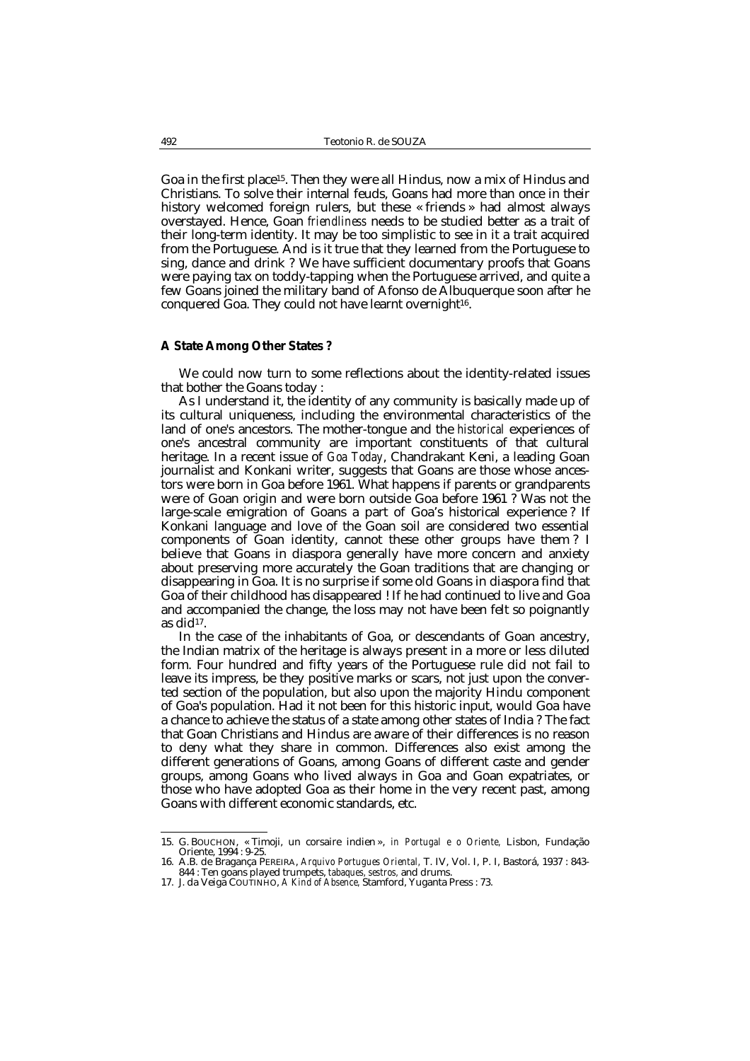Goa in the first place15. Then they were all Hindus, now a mix of Hindus and Christians. To solve their internal feuds, Goans had more than once in their history welcomed foreign rulers, but these « friends » had almost always overstayed. Hence, Goan *friendliness* needs to be studied better as a trait of their long-term identity. It may be too simplistic to see in it a trait acquired from the Portuguese. And is it true that they learned from the Portuguese to sing, dance and drink ? We have sufficient documentary proofs that Goans were paying tax on toddy-tapping when the Portuguese arrived, and quite a few Goans joined the military band of Afonso de Albuquerque soon after he conquered Goa. They could not have learnt overnight<sup>16</sup>.

## **A State Among Other States ?**

We could now turn to some reflections about the identity-related issues that bother the Goans today :

As I understand it, the identity of any community is basically made up of its cultural uniqueness, including the environmental characteristics of the land of one's ancestors. The mother-tongue and the *historical* experiences of one's ancestral community are important constituents of that cultural heritage. In a recent issue of *Goa Today*, Chandrakant Keni, a leading Goan journalist and Konkani writer, suggests that Goans are those whose ancestors were born in Goa before 1961. What happens if parents or grandparents were of Goan origin and were born outside Goa before 1961 ? Was not the large-scale emigration of Goans a part of Goa's historical experience ? If Konkani language and love of the Goan soil are considered two essential components of Goan identity, cannot these other groups have them ? I believe that Goans in diaspora generally have more concern and anxiety about preserving more accurately the Goan traditions that are changing or disappearing in Goa. It is no surprise if some old Goans in diaspora find that Goa of their childhood has disappeared ! If he had continued to live and Goa and accompanied the change, the loss may not have been felt so poignantly as did $17$ .

In the case of the inhabitants of Goa, or descendants of Goan ancestry, the Indian matrix of the heritage is always present in a more or less diluted form. Four hundred and fifty years of the Portuguese rule did not fail to leave its impress, be they positive marks or scars, not just upon the converted section of the population, but also upon the majority Hindu component of Goa's population. Had it not been for this historic input, would Goa have a chance to achieve the status of a state among other states of India ? The fact that Goan Christians and Hindus are aware of their differences is no reason to deny what they share in common. Differences also exist among the different generations of Goans, among Goans of different caste and gender groups, among Goans who lived always in Goa and Goan expatriates, or those who have adopted Goa as their home in the very recent past, among Goans with different economic standards, etc.

 15. G. BOUCHON, « Timoji, un corsaire indien », *in Portugal e o Oriente,* Lisbon, Fundação Oriente, 1994 : 9-25.

<sup>16.</sup> A.B. de Bragança PEREIRA, *Arquivo Portugues Oriental,* T. IV, Vol. I, P. I, Bastorá, 1937 : 843- 844 : Ten goans played trumpets, *tabaques, sestros,* and drums.

<sup>17.</sup> J. da Veiga COUTINHO, *A Kind of Absence,* Stamford, Yuganta Press : 73.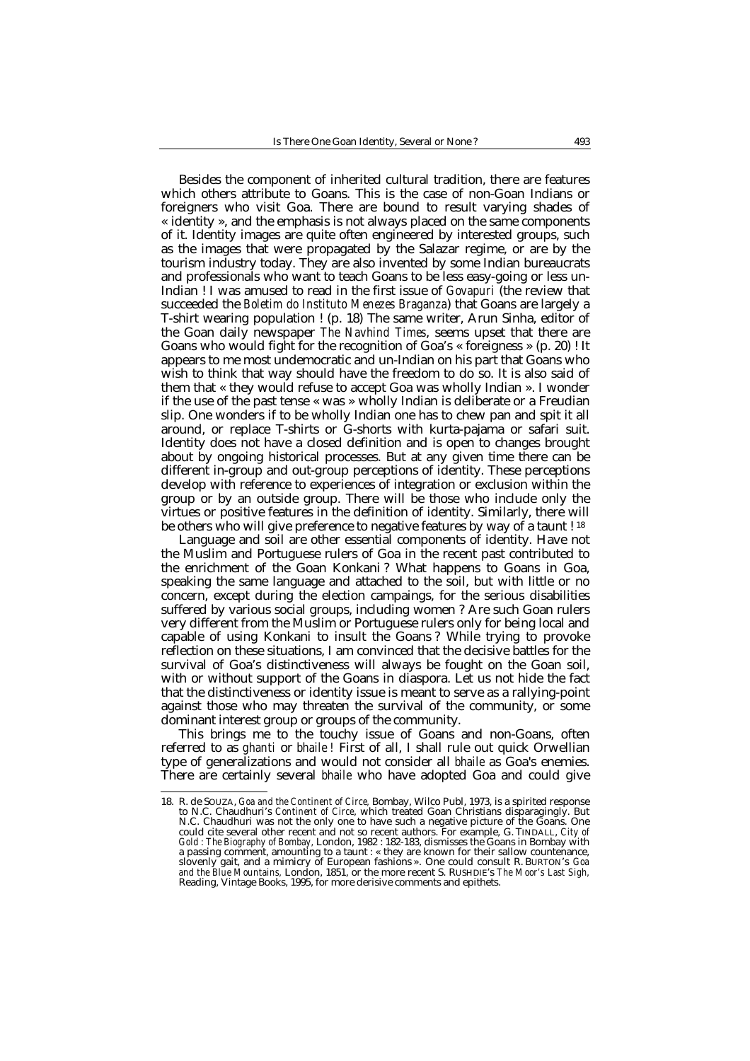Besides the component of inherited cultural tradition, there are features which others attribute to Goans. This is the case of non-Goan Indians or foreigners who visit Goa. There are bound to result varying shades of « identity », and the emphasis is not always placed on the same components of it. Identity images are quite often engineered by interested groups, such as the images that were propagated by the Salazar regime, or are by the tourism industry today. They are also invented by some Indian bureaucrats and professionals who want to teach Goans to be less easy-going or less un-Indian ! I was amused to read in the first issue of *Govapuri* (the review that succeeded the *Boletim do Instituto Menezes Braganza*) that Goans are largely a T-shirt wearing population ! (p. 18) The same writer, Arun Sinha, editor of the Goan daily newspaper *The Navhind Times*, seems upset that there are Goans who would fight for the recognition of Goa's « foreigness » (p. 20) ! It appears to me most undemocratic and un-Indian on his part that Goans who wish to think that way should have the freedom to do so. It is also said of them that « they would refuse to accept Goa was wholly Indian ». I wonder if the use of the past tense « was » wholly Indian is deliberate or a Freudian slip. One wonders if to be wholly Indian one has to chew pan and spit it all around, or replace T-shirts or G-shorts with kurta-pajama or safari suit. Identity does not have a closed definition and is open to changes brought about by ongoing historical processes. But at any given time there can be different in-group and out-group perceptions of identity. These perceptions develop with reference to experiences of integration or exclusion within the group or by an outside group. There will be those who include only the virtues or positive features in the definition of identity. Similarly, there will be others who will give preference to negative features by way of a taunt ! <sup>18</sup>

Language and soil are other essential components of identity. Have not the Muslim and Portuguese rulers of Goa in the recent past contributed to the enrichment of the Goan Konkani ? What happens to Goans in Goa, speaking the same language and attached to the soil, but with little or no concern, except during the election campaings, for the serious disabilities suffered by various social groups, including women ? Are such Goan rulers very different from the Muslim or Portuguese rulers only for being local and capable of using Konkani to insult the Goans ? While trying to provoke reflection on these situations, I am convinced that the decisive battles for the survival of Goa's distinctiveness will always be fought on the Goan soil, with or without support of the Goans in diaspora. Let us not hide the fact that the distinctiveness or identity issue is meant to serve as a rallying-point against those who may threaten the survival of the community, or some dominant interest group or groups of the community.

This brings me to the touchy issue of Goans and non-Goans, often referred to as *ghanti* or *bhaile !* First of all, I shall rule out quick Orwellian type of generalizations and would not consider all *bhaile* as Goa's enemies. There are certainly several *bhaile* who have adopted Goa and could give

 18. R. de SOUZA, *Goa and the Continent of Circe,* Bombay, Wilco Publ, 1973, is a spirited response to N.C. Chaudhuri's *Continent of Circe*, which treated Goan Christians disparagingly. But N.C. Chaudhuri was not the only one to have such a negative picture of the Goans. One could cite several other recent and not so recent authors. For example, G. TINDALL, *City of Gold : The Biography of Bombay,* London, 1982 : 182-183, dismisses the Goans in Bombay with a passing comment, amounting to a taunt : « they are known for their sallow countenance, gait, and a mimicry of European fashions ». One could consult R. BURTON's *Goa and the Blue Mountains,* London, 1851, or the more recent S. RUSHDIE's *The Moor's Last Sigh,* Reading, Vintage Books, 1995, for more derisive comments and epithets.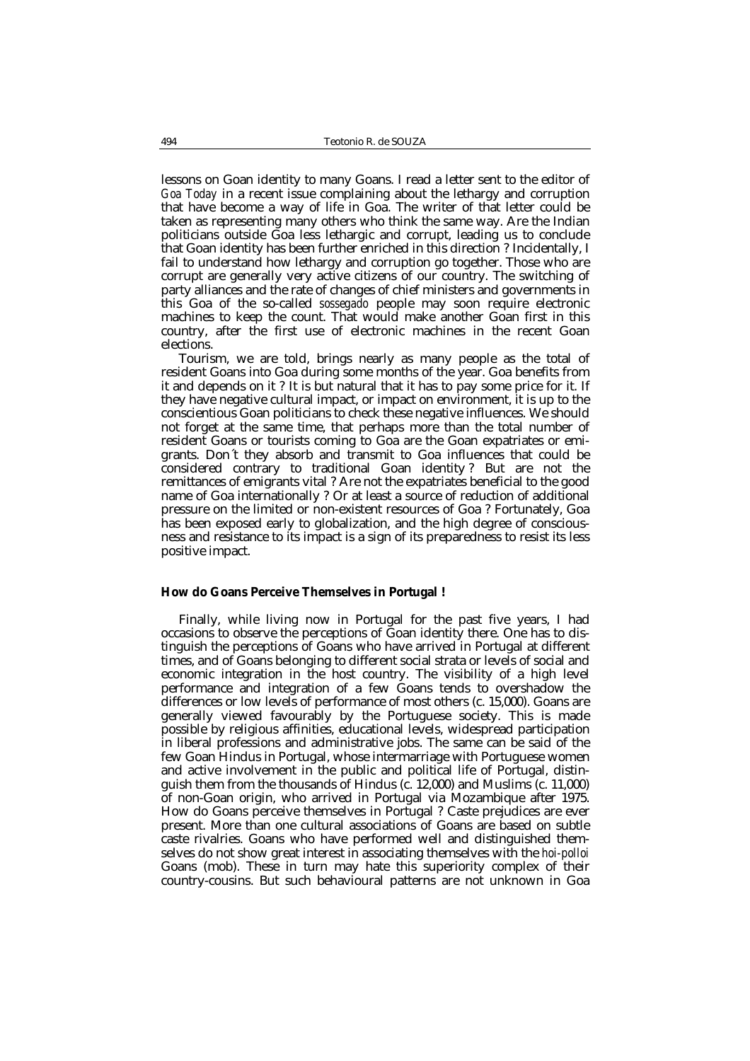lessons on Goan identity to many Goans. I read a letter sent to the editor of *Goa Today* in a recent issue complaining about the lethargy and corruption that have become a way of life in Goa. The writer of that letter could be taken as representing many others who think the same way. Are the Indian politicians outside Goa less lethargic and corrupt, leading us to conclude that Goan identity has been further enriched in this direction ? Incidentally, I fail to understand how lethargy and corruption go together. Those who are corrupt are generally very active citizens of our country. The switching of party alliances and the rate of changes of chief ministers and governments in this Goa of the so-called *sossegado* people may soon require electronic machines to keep the count. That would make another Goan first in this country, after the first use of electronic machines in the recent Goan elections.

Tourism, we are told, brings nearly as many people as the total of resident Goans into Goa during some months of the year. Goa benefits from it and depends on it ? It is but natural that it has to pay some price for it. If they have negative cultural impact, or impact on environment, it is up to the conscientious Goan politicians to check these negative influences. We should not forget at the same time, that perhaps more than the total number of resident Goans or tourists coming to Goa are the Goan expatriates or emigrants. Don´t they absorb and transmit to Goa influences that could be considered contrary to traditional Goan identity ? But are not the remittances of emigrants vital ? Are not the expatriates beneficial to the good name of Goa internationally ? Or at least a source of reduction of additional pressure on the limited or non-existent resources of Goa ? Fortunately, Goa has been exposed early to globalization, and the high degree of consciousness and resistance to its impact is a sign of its preparedness to resist its less positive impact.

#### **How do Goans Perceive Themselves in Portugal !**

Finally, while living now in Portugal for the past five years, I had occasions to observe the perceptions of Goan identity there. One has to distinguish the perceptions of Goans who have arrived in Portugal at different times, and of Goans belonging to different social strata or levels of social and economic integration in the host country. The visibility of a high level performance and integration of a few Goans tends to overshadow the differences or low levels of performance of most others (c. 15,000). Goans are generally viewed favourably by the Portuguese society. This is made possible by religious affinities, educational levels, widespread participation in liberal professions and administrative jobs. The same can be said of the few Goan Hindus in Portugal, whose intermarriage with Portuguese women and active involvement in the public and political life of Portugal, distinguish them from the thousands of Hindus (c. 12,000) and Muslims (c. 11,000) of non-Goan origin, who arrived in Portugal via Mozambique after 1975. How do Goans perceive themselves in Portugal ? Caste prejudices are ever present. More than one cultural associations of Goans are based on subtle caste rivalries. Goans who have performed well and distinguished themselves do not show great interest in associating themselves with the *hoi-polloi* Goans (mob). These in turn may hate this superiority complex of their country-cousins. But such behavioural patterns are not unknown in Goa